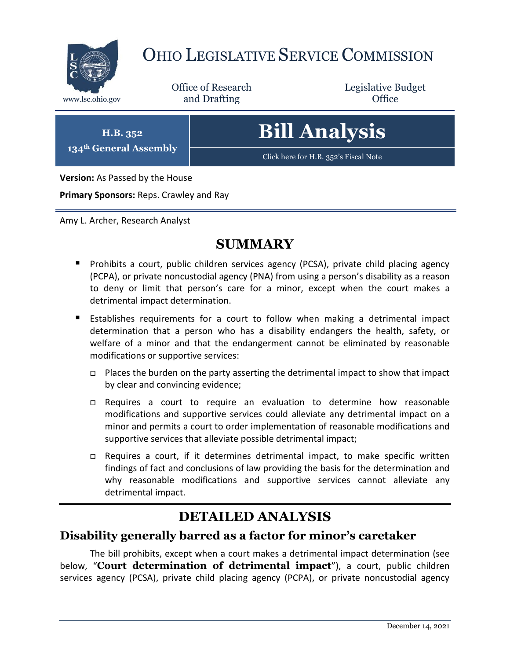

# OHIO LEGISLATIVE SERVICE COMMISSION

Office of Research www.lsc.ohio.gov **and Drafting Office** 

Legislative Budget

**H.B. 352 134th General Assembly**

# **Bill Analysis**

[Click here for H.B. 352](https://www.legislature.ohio.gov/legislation/legislation-documents?id=GA134-HB-352)'s Fiscal Note

**Version:** As Passed by the House

**Primary Sponsors:** Reps. Crawley and Ray

Amy L. Archer, Research Analyst

### **SUMMARY**

- **Prohibits a court, public children services agency (PCSA), private child placing agency** (PCPA), or private noncustodial agency (PNA) from using a person's disability as a reason to deny or limit that person's care for a minor, except when the court makes a detrimental impact determination.
- Establishes requirements for a court to follow when making a detrimental impact determination that a person who has a disability endangers the health, safety, or welfare of a minor and that the endangerment cannot be eliminated by reasonable modifications or supportive services:
	- $\Box$  Places the burden on the party asserting the detrimental impact to show that impact by clear and convincing evidence;
	- Requires a court to require an evaluation to determine how reasonable modifications and supportive services could alleviate any detrimental impact on a minor and permits a court to order implementation of reasonable modifications and supportive services that alleviate possible detrimental impact;
	- $\Box$  Requires a court, if it determines detrimental impact, to make specific written findings of fact and conclusions of law providing the basis for the determination and why reasonable modifications and supportive services cannot alleviate any detrimental impact.

## **DETAILED ANALYSIS**

#### **Disability generally barred as a factor for minor's caretaker**

The bill prohibits, except when a court makes a detrimental impact determination (see below, "**Court determination of detrimental impact**"), a court, public children services agency (PCSA), private child placing agency (PCPA), or private noncustodial agency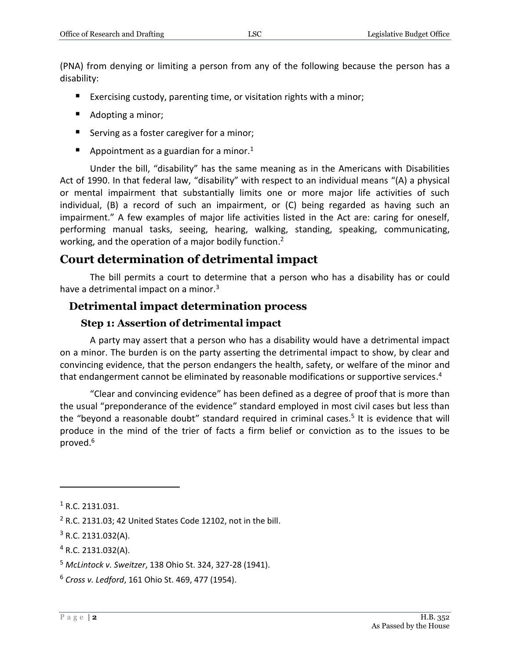(PNA) from denying or limiting a person from any of the following because the person has a disability:

- Exercising custody, parenting time, or visitation rights with a minor;
- Adopting a minor;
- Serving as a foster caregiver for a minor;
- Appointment as a guardian for a minor.<sup>1</sup>

Under the bill, "disability" has the same meaning as in the Americans with Disabilities Act of 1990. In that federal law, "disability" with respect to an individual means "(A) a physical or mental impairment that substantially limits one or more major life activities of such individual, (B) a record of such an impairment, or (C) being regarded as having such an impairment." A few examples of major life activities listed in the Act are: caring for oneself, performing manual tasks, seeing, hearing, walking, standing, speaking, communicating, working, and the operation of a major bodily function.<sup>2</sup>

#### **Court determination of detrimental impact**

The bill permits a court to determine that a person who has a disability has or could have a detrimental impact on a minor.<sup>3</sup>

#### **Detrimental impact determination process**

#### **Step 1: Assertion of detrimental impact**

A party may assert that a person who has a disability would have a detrimental impact on a minor. The burden is on the party asserting the detrimental impact to show, by clear and convincing evidence, that the person endangers the health, safety, or welfare of the minor and that endangerment cannot be eliminated by reasonable modifications or supportive services.<sup>4</sup>

"Clear and convincing evidence" has been defined as a degree of proof that is more than the usual "preponderance of the evidence" standard employed in most civil cases but less than the "beyond a reasonable doubt" standard required in criminal cases.<sup>5</sup> It is evidence that will produce in the mind of the trier of facts a firm belief or conviction as to the issues to be proved.<sup>6</sup>

 $\overline{a}$ 

<sup>1</sup> R.C. 2131.031.

 $2$  R.C. 2131.03; 42 United States Code 12102, not in the bill.

 $3$  R.C. 2131.032(A).

<sup>4</sup> R.C. 2131.032(A).

<sup>5</sup> *McLintock v. Sweitzer*, 138 Ohio St. 324, 327-28 (1941).

<sup>6</sup> *Cross v. Ledford*, 161 Ohio St. 469, 477 (1954).